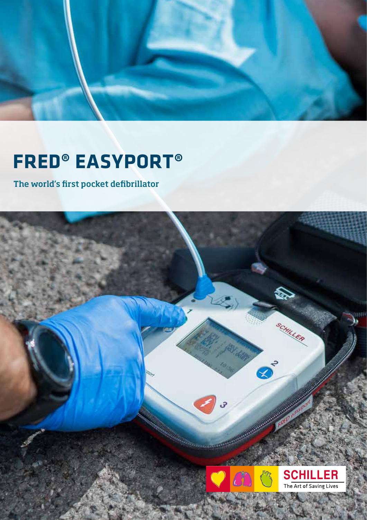

## **FRED® EASYPORT®**

The world's first pocket defibrillator

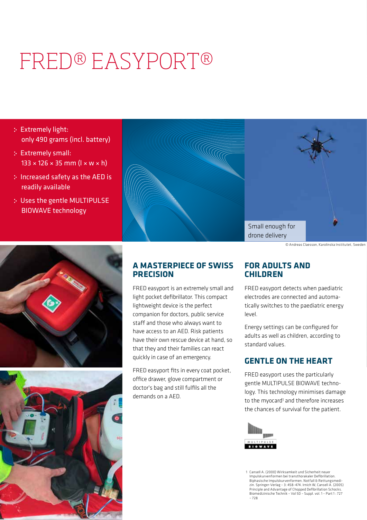# FRED® EASYPORT®

- Extremely light: only 490 grams (incl. battery)
- Extremely small:  $133 \times 126 \times 35$  mm ( $\sqrt{w \times w \times h}$ )
- Increased safety as the AED is readily available
- Uses the gentle MULTIPULSE BIOWAVE technology



© Andreas Claesson, Karolinska Institutet, Sweden





### **A MASTERPIECE OF SWISS PRECISION**

FRED easyport is an extremely small and light pocket defibrillator. This compact lightweight device is the perfect companion for doctors, public service staff and those who always want to have access to an AED. Risk patients have their own rescue device at hand, so that they and their families can react quickly in case of an emergency.

FRED easyport fits in every coat pocket, office drawer, glove compartment or doctor's bag and still fulfils all the demands on a AED.

### **FOR ADULTS AND CHILDREN**

FRED easyport detects when paediatric electrodes are connected and automatically switches to the paediatric energy level.

Energy settings can be configured for adults as well as children, according to standard values.

## **GENTLE ON THE HEART**

FRED easyport uses the particularly gentle MULTIPULSE BIOWAVE technology. This technology minimises damage to the myocard<sup>1</sup> and therefore increases the chances of survival for the patient.



1 Cansell A. (2000) Wirksamkeit und Sicherheit neuer Impulskurvenformen bei transthorakaler Defibrillation. Biphasische Impulskurvenformen. Notfall & Rettungsmedi-<br>zin. Springer-Verlag - 3: 458-474. Irnich W, Cansell A. (2005)<br>Principle and Advantage of Chopped Defibrillation Schocks.<br>Biomedizinische Technik - Vol 50 - Suppl. vo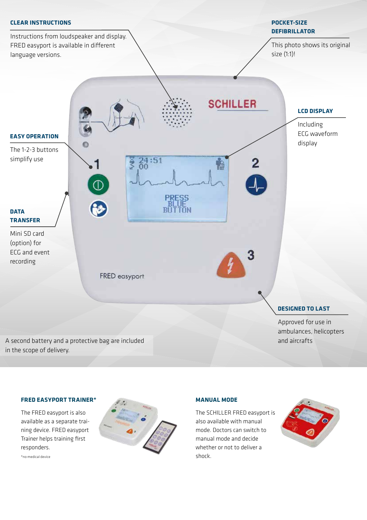

#### **FRED EASYPORT TRAINER\***

The FRED easyport is also available as a separate training device. FRED easyport Trainer helps training first responders.



#### **MANUAL MODE**

The SCHILLER FRED easyport is also available with manual mode. Doctors can switch to manual mode and decide whether or not to deliver a shock.



\*no medical device